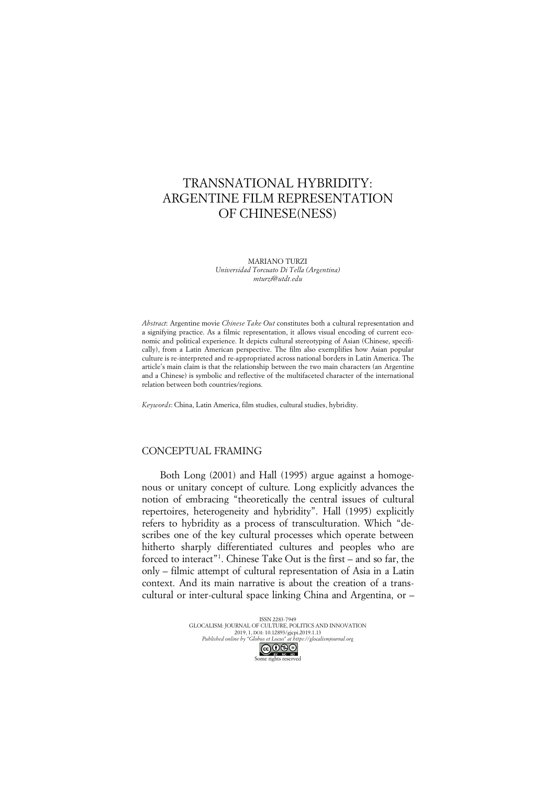# TRANSNATIONAL HYBRIDITY: ARGENTINE FILM REPRESENTATION OF CHINESE(NESS)

MARIANO TURZI *Universidad Torcuato Di Tella (Argentina) mturzi@utdt.edu*

*Abstract*: Argentine movie *Chinese Take Out* constitutes both a cultural representation and a signifying practice. As a filmic representation, it allows visual encoding of current economic and political experience. It depicts cultural stereotyping of Asian (Chinese, specifically), from a Latin American perspective. The film also exemplifies how Asian popular culture is re-interpreted and re-appropriated across national borders in Latin America. The article's main claim is that the relationship between the two main characters (an Argentine and a Chinese) is symbolic and reflective of the multifaceted character of the international relation between both countries/regions.

*Keywords*: China, Latin America, film studies, cultural studies, hybridity.

### CONCEPTUAL FRAMING

Both Long (2001) and Hall (1995) argue against a homogenous or unitary concept of culture. Long explicitly advances the notion of embracing "theoretically the central issues of cultural repertoires, heterogeneity and hybridity". Hall (1995) explicitly refers to hybridity as a process of transculturation. Which "describes one of the key cultural processes which operate between hitherto sharply differentiated cultures and peoples who are forced to interact"1 . Chinese Take Out is the first – and so far, the only – filmic attempt of cultural representation of Asia in a Latin context. And its main narrative is about the creation of a transcultural or inter-cultural space linking China and Argentina, or –

> ISSN 2283-7949 GLOCALISM: JOURNAL OF CULTURE, POLITICS AND INNOVATION 2019, 1, DOI: 10.12893/gjcpi.2019.1.13 *Published online by "Globus et Locus" at https://glocalismjournal.org* Some rights reserved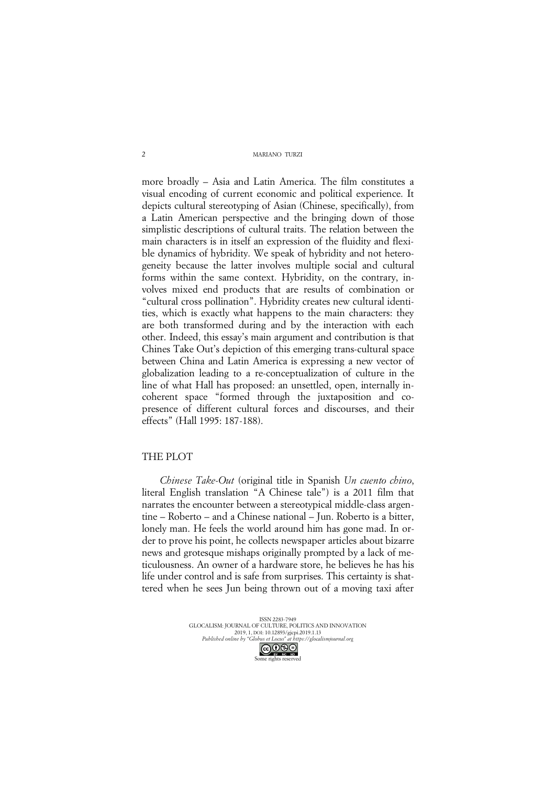more broadly – Asia and Latin America. The film constitutes a visual encoding of current economic and political experience. It depicts cultural stereotyping of Asian (Chinese, specifically), from a Latin American perspective and the bringing down of those simplistic descriptions of cultural traits. The relation between the main characters is in itself an expression of the fluidity and flexible dynamics of hybridity. We speak of hybridity and not heterogeneity because the latter involves multiple social and cultural forms within the same context. Hybridity, on the contrary, involves mixed end products that are results of combination or "cultural cross pollination". Hybridity creates new cultural identities, which is exactly what happens to the main characters: they are both transformed during and by the interaction with each other. Indeed, this essay's main argument and contribution is that Chines Take Out's depiction of this emerging trans*-*cultural space between China and Latin America is expressing a new vector of globalization leading to a re-conceptualization of culture in the line of what Hall has proposed: an unsettled, open, internally incoherent space "formed through the juxtaposition and copresence of different cultural forces and discourses, and their effects" (Hall 1995: 187-188).

# THE PLOT

*Chinese Take-Out* (original title in Spanish *Un cuento chino*, literal English translation "A Chinese tale") is a 2011 film that narrates the encounter between a stereotypical middle-class argentine – Roberto – and a Chinese national – Jun. Roberto is a bitter, lonely man. He feels the world around him has gone mad. In order to prove his point, he collects newspaper articles about bizarre news and grotesque mishaps originally prompted by a lack of meticulousness. An owner of a hardware store, he believes he has his life under control and is safe from surprises. This certainty is shattered when he sees Jun being thrown out of a moving taxi after

ISSN 2283-7949 GLOCALISM: JOURNAL OF CULTURE, POLITICS AND INNOVATION 2019, 1, DOI: 10.12893/gjcpi.2019.1.13 *Published online by "Globus et Locus" at https://glocalismjournal.org* Some rights reserved<br>Some rights reserved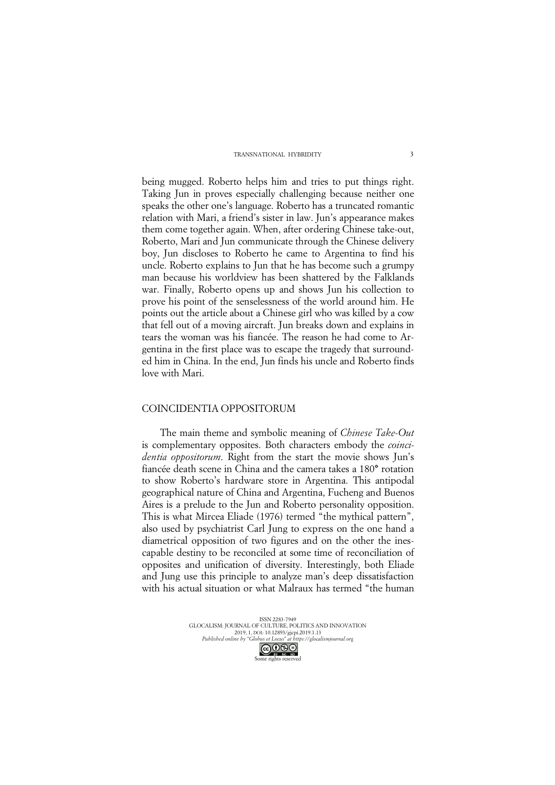being mugged. Roberto helps him and tries to put things right. Taking Jun in proves especially challenging because neither one speaks the other one's language. Roberto has a truncated romantic relation with Mari, a friend's sister in law. Jun's appearance makes them come together again. When, after ordering Chinese take-out, Roberto, Mari and Jun communicate through the Chinese delivery boy, Jun discloses to Roberto he came to Argentina to find his uncle. Roberto explains to Jun that he has become such a grumpy man because his worldview has been shattered by the Falklands war. Finally, Roberto opens up and shows Jun his collection to prove his point of the senselessness of the world around him. He points out the article about a Chinese girl who was killed by a cow that fell out of a moving aircraft. Jun breaks down and explains in tears the woman was his fiancée. The reason he had come to Argentina in the first place was to escape the tragedy that surrounded him in China. In the end, Jun finds his uncle and Roberto finds love with Mari.

### COINCIDENTIA OPPOSITORUM

The main theme and symbolic meaning of *Chinese Take-Out*  is complementary opposites. Both characters embody the *coincidentia oppositorum*. Right from the start the movie shows Jun's fiancée death scene in China and the camera takes a 180**°** rotation to show Roberto's hardware store in Argentina. This antipodal geographical nature of China and Argentina, Fucheng and Buenos Aires is a prelude to the Jun and Roberto personality opposition. This is what Mircea Eliade (1976) termed "the mythical pattern", also used by psychiatrist Carl Jung to express on the one hand a diametrical opposition of two figures and on the other the inescapable destiny to be reconciled at some time of reconciliation of opposites and unification of diversity. Interestingly, both Eliade and Jung use this principle to analyze man's deep dissatisfaction with his actual situation or what Malraux has termed "the human

> ISSN 2283-7949 GLOCALISM: JOURNAL OF CULTURE, POLITICS AND INNOVATION 2019, 1, DOI: 10.12893/gjcpi.2019.1.13 *Published online by "Globus et Locus" at https://glocalismjournal.org* Some rights reserved<br>Some rights reserved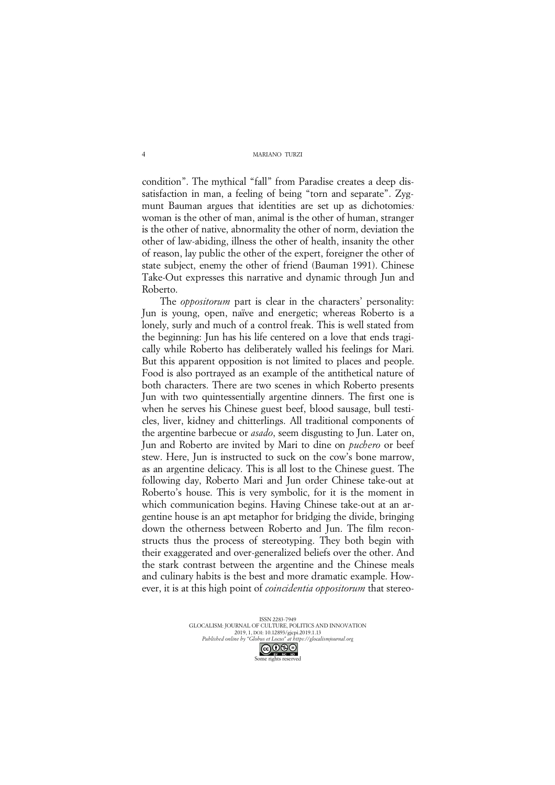condition". The mythical "fall" from Paradise creates a deep dissatisfaction in man, a feeling of being "torn and separate". Zygmunt Bauman argues that identities are set up as dichotomies*:* woman is the other of man, animal is the other of human, stranger is the other of native, abnormality the other of norm, deviation the other of law-abiding, illness the other of health, insanity the other of reason, lay public the other of the expert, foreigner the other of state subject, enemy the other of friend (Bauman 1991). Chinese Take-Out expresses this narrative and dynamic through Jun and Roberto.

The *oppositorum* part is clear in the characters' personality: Jun is young, open, naïve and energetic; whereas Roberto is a lonely, surly and much of a control freak. This is well stated from the beginning: Jun has his life centered on a love that ends tragically while Roberto has deliberately walled his feelings for Mari. But this apparent opposition is not limited to places and people. Food is also portrayed as an example of the antithetical nature of both characters. There are two scenes in which Roberto presents Jun with two quintessentially argentine dinners. The first one is when he serves his Chinese guest beef, blood sausage, bull testicles, liver, kidney and chitterlings. All traditional components of the argentine barbecue or *asado*, seem disgusting to Jun. Later on, Jun and Roberto are invited by Mari to dine on *puchero* or beef stew. Here, Jun is instructed to suck on the cow's bone marrow, as an argentine delicacy. This is all lost to the Chinese guest. The following day, Roberto Mari and Jun order Chinese take-out at Roberto's house. This is very symbolic, for it is the moment in which communication begins. Having Chinese take-out at an argentine house is an apt metaphor for bridging the divide, bringing down the otherness between Roberto and Jun. The film reconstructs thus the process of stereotyping. They both begin with their exaggerated and over-generalized beliefs over the other. And the stark contrast between the argentine and the Chinese meals and culinary habits is the best and more dramatic example. However, it is at this high point of *coincidentia oppositorum* that stereo-

> ISSN 2283-7949 GLOCALISM: JOURNAL OF CULTURE, POLITICS AND INNOVATION 2019, 1, DOI: 10.12893/gjcpi.2019.1.13 *Published online by "Globus et Locus" at https://glocalismjournal.org* Some rights reserved<br>Some rights reserved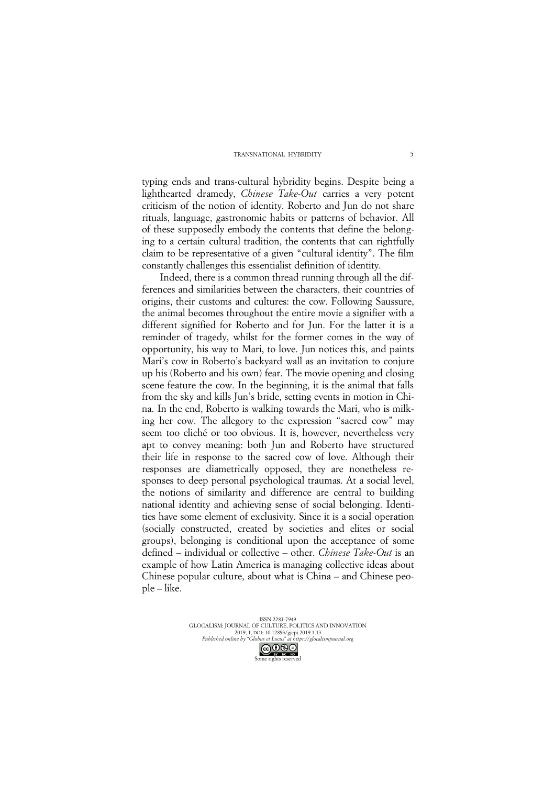typing ends and trans-cultural hybridity begins. Despite being a lighthearted dramedy, *Chinese Take-Out* carries a very potent criticism of the notion of identity. Roberto and Jun do not share rituals, language, gastronomic habits or patterns of behavior. All of these supposedly embody the contents that define the belonging to a certain cultural tradition, the contents that can rightfully claim to be representative of a given "cultural identity". The film constantly challenges this essentialist definition of identity.

Indeed, there is a common thread running through all the differences and similarities between the characters, their countries of origins, their customs and cultures: the cow. Following Saussure, the animal becomes throughout the entire movie a signifier with a different signified for Roberto and for Jun. For the latter it is a reminder of tragedy, whilst for the former comes in the way of opportunity, his way to Mari, to love. Jun notices this, and paints Mari's cow in Roberto's backyard wall as an invitation to conjure up his (Roberto and his own) fear. The movie opening and closing scene feature the cow. In the beginning, it is the animal that falls from the sky and kills Jun's bride, setting events in motion in China. In the end, Roberto is walking towards the Mari, who is milking her cow. The allegory to the expression "sacred cow" may seem too cliché or too obvious. It is, however, nevertheless very apt to convey meaning: both Jun and Roberto have structured their life in response to the sacred cow of love. Although their responses are diametrically opposed, they are nonetheless responses to deep personal psychological traumas. At a social level, the notions of similarity and difference are central to building national identity and achieving sense of social belonging. Identities have some element of exclusivity. Since it is a social operation (socially constructed, created by societies and elites or social groups), belonging is conditional upon the acceptance of some defined – individual or collective – other. *Chinese Take-Out* is an example of how Latin America is managing collective ideas about Chinese popular culture, about what is China – and Chinese people – like.

> ISSN 2283-7949 GLOCALISM: JOURNAL OF CULTURE, POLITICS AND INNOVATION 2019, 1, DOI: 10.12893/gjcpi.2019.1.13 *Published online by "Globus et Locus" at https://glocalismjournal.org* Some rights reserved<br>Some rights reserved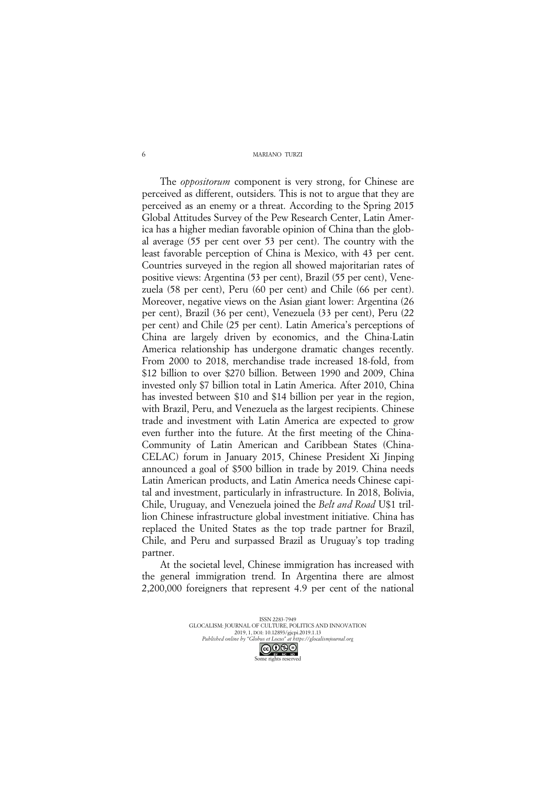The *oppositorum* component is very strong, for Chinese are perceived as different, outsiders. This is not to argue that they are perceived as an enemy or a threat. According to the Spring 2015 Global Attitudes Survey of the Pew Research Center, Latin America has a higher median favorable opinion of China than the global average (55 per cent over 53 per cent). The country with the least favorable perception of China is Mexico, with 43 per cent. Countries surveyed in the region all showed majoritarian rates of positive views: Argentina (53 per cent), Brazil (55 per cent), Venezuela (58 per cent), Peru (60 per cent) and Chile (66 per cent). Moreover, negative views on the Asian giant lower: Argentina (26 per cent), Brazil (36 per cent), Venezuela (33 per cent), Peru (22 per cent) and Chile (25 per cent). Latin America's perceptions of China are largely driven by economics, and the China-Latin America relationship has undergone dramatic changes recently. From 2000 to 2018, merchandise trade increased 18-fold, from \$12 billion to over \$270 billion. Between 1990 and 2009, China invested only \$7 billion total in Latin America. After 2010, China has invested between \$10 and \$14 billion per year in the region, with Brazil, Peru, and Venezuela as the largest recipients. Chinese trade and investment with Latin America are expected to grow even further into the future. At the first meeting of the China-Community of Latin American and Caribbean States (China-CELAC) forum in January 2015, Chinese President Xi Jinping announced a goal of \$500 billion in trade by 2019. China needs Latin American products, and Latin America needs Chinese capital and investment, particularly in infrastructure. In 2018, Bolivia, Chile, Uruguay, and Venezuela joined the *Belt and Road* U\$1 trillion Chinese infrastructure global investment initiative. China has replaced the United States as the top trade partner for Brazil, Chile, and Peru and surpassed Brazil as Uruguay's top trading partner.

At the societal level, Chinese immigration has increased with the general immigration trend. In Argentina there are almost 2,200,000 foreigners that represent 4.9 per cent of the national

> ISSN 2283-7949 GLOCALISM: JOURNAL OF CULTURE, POLITICS AND INNOVATION 2019, 1, DOI: 10.12893/gjcpi.2019.1.13 *Published online by "Globus et Locus" at https://glocalismjournal.org* Some rights reserved<br>Some rights reserved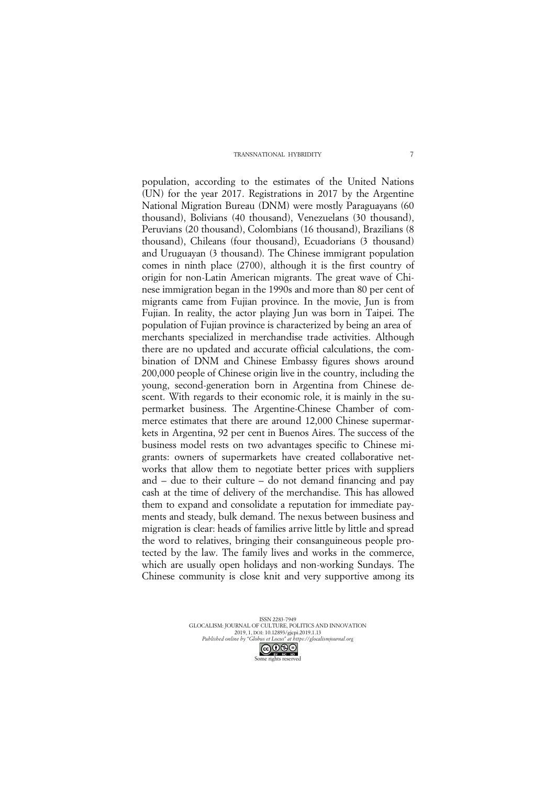population, according to the estimates of the United Nations (UN) for the year 2017. Registrations in 2017 by the Argentine National Migration Bureau (DNM) were mostly Paraguayans (60 thousand), Bolivians (40 thousand), Venezuelans (30 thousand), Peruvians (20 thousand), Colombians (16 thousand), Brazilians (8 thousand), Chileans (four thousand), Ecuadorians (3 thousand) and Uruguayan (3 thousand). The Chinese immigrant population comes in ninth place (2700), although it is the first country of origin for non-Latin American migrants. The great wave of Chinese immigration began in the 1990s and more than 80 per cent of migrants came from Fujian province. In the movie, Jun is from Fujian. In reality, the actor playing Jun was born in Taipei. The population of Fujian province is characterized by being an area of merchants specialized in merchandise trade activities. Although there are no updated and accurate official calculations, the combination of DNM and Chinese Embassy figures shows around 200,000 people of Chinese origin live in the country, including the young, second-generation born in Argentina from Chinese descent. With regards to their economic role, it is mainly in the supermarket business. The Argentine-Chinese Chamber of commerce estimates that there are around 12,000 Chinese supermarkets in Argentina, 92 per cent in Buenos Aires. The success of the business model rests on two advantages specific to Chinese migrants: owners of supermarkets have created collaborative networks that allow them to negotiate better prices with suppliers and – due to their culture – do not demand financing and pay cash at the time of delivery of the merchandise. This has allowed them to expand and consolidate a reputation for immediate payments and steady, bulk demand. The nexus between business and migration is clear: heads of families arrive little by little and spread the word to relatives, bringing their consanguineous people protected by the law. The family lives and works in the commerce, which are usually open holidays and non-working Sundays. The Chinese community is close knit and very supportive among its

> ISSN 2283-7949 GLOCALISM: JOURNAL OF CULTURE, POLITICS AND INNOVATION 2019, 1, DOI: 10.12893/gjcpi.2019.1.13 *Published online by "Globus et Locus" at https://glocalismjournal.org* Some rights reserved<br>Some rights reserved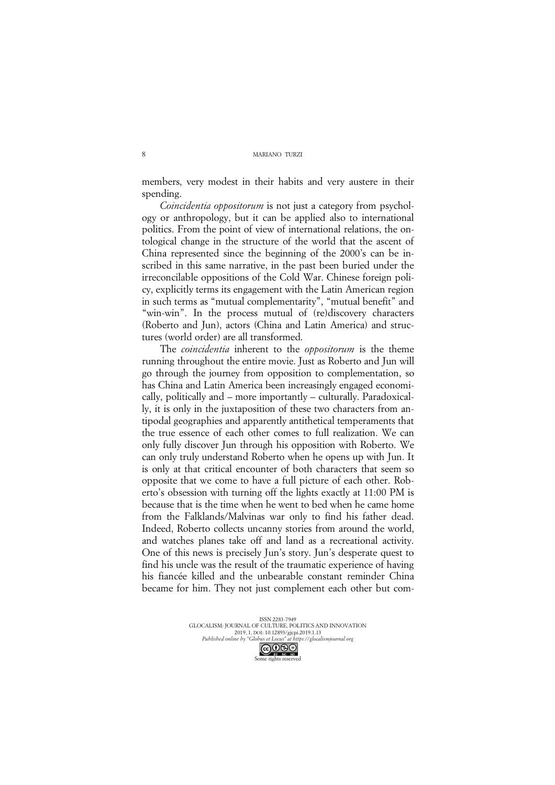members, very modest in their habits and very austere in their spending.

*Coincidentia oppositorum* is not just a category from psychology or anthropology, but it can be applied also to international politics. From the point of view of international relations, the ontological change in the structure of the world that the ascent of China represented since the beginning of the 2000's can be inscribed in this same narrative, in the past been buried under the irreconcilable oppositions of the Cold War. Chinese foreign policy, explicitly terms its engagement with the Latin American region in such terms as "mutual complementarity", "mutual benefit" and "win-win". In the process mutual of (re)discovery characters (Roberto and Jun), actors (China and Latin America) and structures (world order) are all transformed.

The *coincidentia* inherent to the *oppositorum* is the theme running throughout the entire movie. Just as Roberto and Jun will go through the journey from opposition to complementation, so has China and Latin America been increasingly engaged economically, politically and – more importantly – culturally. Paradoxically, it is only in the juxtaposition of these two characters from antipodal geographies and apparently antithetical temperaments that the true essence of each other comes to full realization. We can only fully discover Jun through his opposition with Roberto. We can only truly understand Roberto when he opens up with Jun. It is only at that critical encounter of both characters that seem so opposite that we come to have a full picture of each other. Roberto's obsession with turning off the lights exactly at 11:00 PM is because that is the time when he went to bed when he came home from the Falklands/Malvinas war only to find his father dead. Indeed, Roberto collects uncanny stories from around the world, and watches planes take off and land as a recreational activity. One of this news is precisely Jun's story. Jun's desperate quest to find his uncle was the result of the traumatic experience of having his fiancée killed and the unbearable constant reminder China became for him. They not just complement each other but com-

> ISSN 2283-7949 GLOCALISM: JOURNAL OF CULTURE, POLITICS AND INNOVATION 2019, 1, DOI: 10.12893/gjcpi.2019.1.13 *Published online by "Globus et Locus" at https://glocalismjournal.org* Some rights reserved<br>Some rights reserved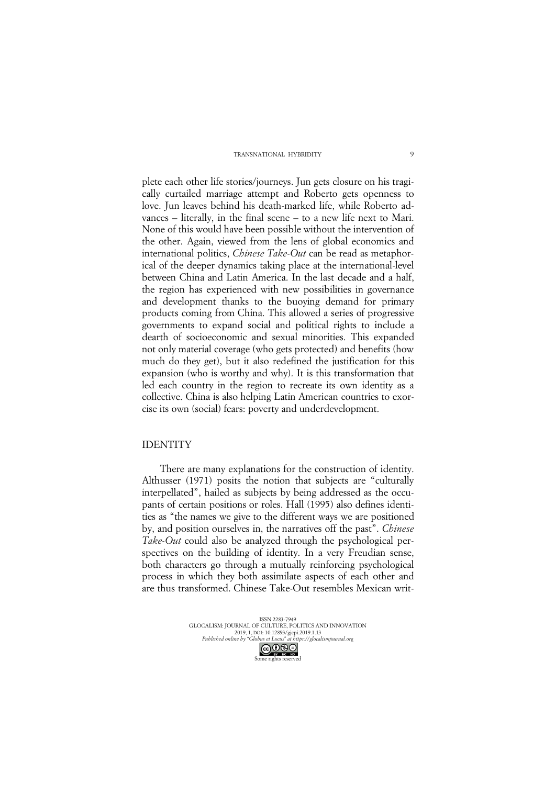plete each other life stories/journeys. Jun gets closure on his tragically curtailed marriage attempt and Roberto gets openness to love. Jun leaves behind his death-marked life, while Roberto advances – literally, in the final scene – to a new life next to Mari. None of this would have been possible without the intervention of the other. Again, viewed from the lens of global economics and international politics, *Chinese Take-Out* can be read as metaphorical of the deeper dynamics taking place at the international-level between China and Latin America. In the last decade and a half, the region has experienced with new possibilities in governance and development thanks to the buoying demand for primary products coming from China. This allowed a series of progressive governments to expand social and political rights to include a dearth of socioeconomic and sexual minorities. This expanded not only material coverage (who gets protected) and benefits (how much do they get), but it also redefined the justification for this expansion (who is worthy and why). It is this transformation that led each country in the region to recreate its own identity as a collective. China is also helping Latin American countries to exorcise its own (social) fears: poverty and underdevelopment.

## IDENTITY

There are many explanations for the construction of identity. Althusser (1971) posits the notion that subjects are "culturally interpellated", hailed as subjects by being addressed as the occupants of certain positions or roles. Hall (1995) also defines identities as "the names we give to the different ways we are positioned by, and position ourselves in, the narratives off the past". *Chinese Take-Out* could also be analyzed through the psychological perspectives on the building of identity. In a very Freudian sense, both characters go through a mutually reinforcing psychological process in which they both assimilate aspects of each other and are thus transformed. Chinese Take-Out resembles Mexican writ-

> ISSN 2283-7949 GLOCALISM: JOURNAL OF CULTURE, POLITICS AND INNOVATION 2019, 1, DOI: 10.12893/gjcpi.2019.1.13 *Published online by "Globus et Locus" at https://glocalismjournal.org* Some rights reserved<br>Some rights reserved

 $\overline{9}$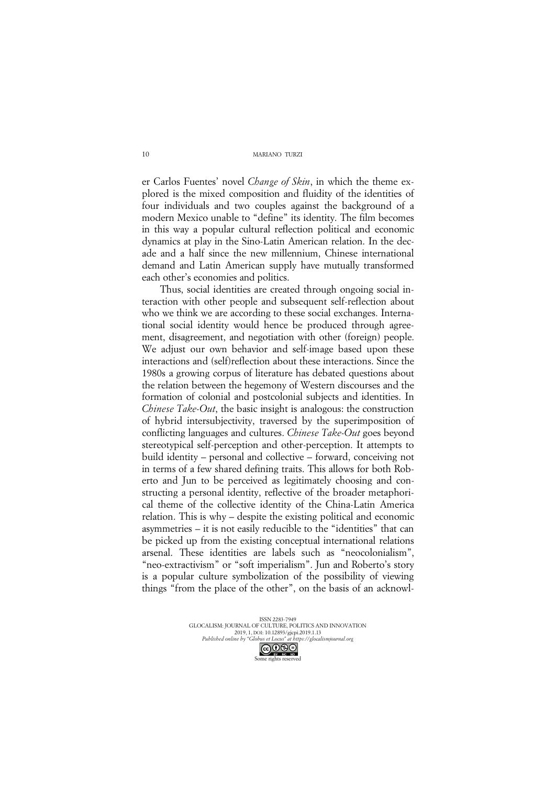er Carlos Fuentes' novel *Change of Skin*, in which the theme explored is the mixed composition and fluidity of the identities of four individuals and two couples against the background of a modern Mexico unable to "define" its identity. The film becomes in this way a popular cultural reflection political and economic dynamics at play in the Sino-Latin American relation. In the decade and a half since the new millennium, Chinese international demand and Latin American supply have mutually transformed each other's economies and politics.

Thus, social identities are created through ongoing social interaction with other people and subsequent self-reflection about who we think we are according to these social exchanges. International social identity would hence be produced through agreement, disagreement, and negotiation with other (foreign) people. We adjust our own behavior and self-image based upon these interactions and (self)reflection about these interactions. Since the 1980s a growing corpus of literature has debated questions about the relation between the hegemony of Western discourses and the formation of colonial and postcolonial subjects and identities. In *Chinese Take-Out*, the basic insight is analogous: the construction of hybrid intersubjectivity, traversed by the superimposition of conflicting languages and cultures. *Chinese Take-Out* goes beyond stereotypical self-perception and other-perception. It attempts to build identity – personal and collective – forward, conceiving not in terms of a few shared defining traits. This allows for both Roberto and Jun to be perceived as legitimately choosing and constructing a personal identity, reflective of the broader metaphorical theme of the collective identity of the China-Latin America relation. This is why – despite the existing political and economic asymmetries – it is not easily reducible to the "identities" that can be picked up from the existing conceptual international relations arsenal. These identities are labels such as "neocolonialism", "neo-extractivism" or "soft imperialism". Jun and Roberto's story is a popular culture symbolization of the possibility of viewing things "from the place of the other", on the basis of an acknowl-

> ISSN 2283-7949 GLOCALISM: JOURNAL OF CULTURE, POLITICS AND INNOVATION 2019, 1, DOI: 10.12893/gjcpi.2019.1.13 *Published online by "Globus et Locus" at https://glocalismjournal.org* Some rights reserved<br>Some rights reserved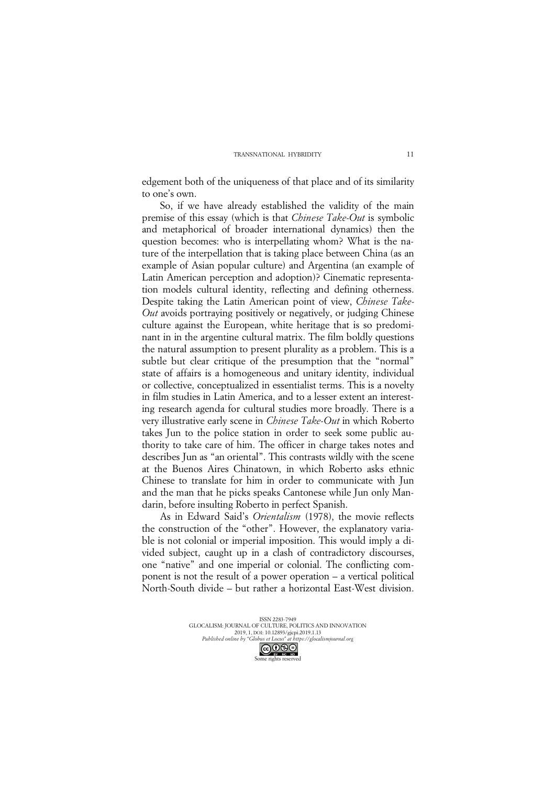edgement both of the uniqueness of that place and of its similarity to one's own.

So, if we have already established the validity of the main premise of this essay (which is that *Chinese Take-Out* is symbolic and metaphorical of broader international dynamics) then the question becomes: who is interpellating whom? What is the nature of the interpellation that is taking place between China (as an example of Asian popular culture) and Argentina (an example of Latin American perception and adoption)? Cinematic representation models cultural identity, reflecting and defining otherness. Despite taking the Latin American point of view, *Chinese Take-Out* avoids portraying positively or negatively, or judging Chinese culture against the European, white heritage that is so predominant in in the argentine cultural matrix. The film boldly questions the natural assumption to present plurality as a problem. This is a subtle but clear critique of the presumption that the "normal" state of affairs is a homogeneous and unitary identity, individual or collective, conceptualized in essentialist terms. This is a novelty in film studies in Latin America, and to a lesser extent an interesting research agenda for cultural studies more broadly. There is a very illustrative early scene in *Chinese Take-Out* in which Roberto takes Jun to the police station in order to seek some public authority to take care of him. The officer in charge takes notes and describes Jun as "an oriental". This contrasts wildly with the scene at the Buenos Aires Chinatown, in which Roberto asks ethnic Chinese to translate for him in order to communicate with Jun and the man that he picks speaks Cantonese while Jun only Mandarin, before insulting Roberto in perfect Spanish.

As in Edward Said's *Orientalism* (1978), the movie reflects the construction of the "other". However, the explanatory variable is not colonial or imperial imposition. This would imply a divided subject, caught up in a clash of contradictory discourses, one "native" and one imperial or colonial. The conflicting component is not the result of a power operation – a vertical political North-South divide – but rather a horizontal East-West division.

ISSN 2283-7949 GLOCALISM: JOURNAL OF CULTURE, POLITICS AND INNOVATION 2019, 1, DOI: 10.12893/gjcpi.2019.1.13 *Published online by "Globus et Locus" at https://glocalismjournal.org* Some rights reserved<br>Some rights reserved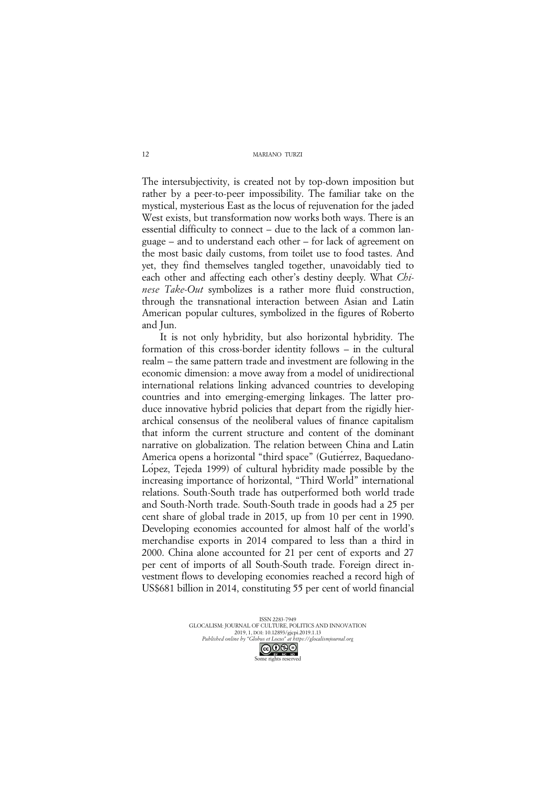The intersubjectivity, is created not by top-down imposition but rather by a peer-to-peer impossibility. The familiar take on the mystical, mysterious East as the locus of rejuvenation for the jaded West exists, but transformation now works both ways. There is an essential difficulty to connect – due to the lack of a common language – and to understand each other – for lack of agreement on the most basic daily customs, from toilet use to food tastes. And yet, they find themselves tangled together, unavoidably tied to each other and affecting each other's destiny deeply. What *Chinese Take-Out* symbolizes is a rather more fluid construction, through the transnational interaction between Asian and Latin American popular cultures, symbolized in the figures of Roberto and Jun.

It is not only hybridity, but also horizontal hybridity. The formation of this cross-border identity follows – in the cultural realm – the same pattern trade and investment are following in the economic dimension: a move away from a model of unidirectional international relations linking advanced countries to developing countries and into emerging-emerging linkages. The latter produce innovative hybrid policies that depart from the rigidly hierarchical consensus of the neoliberal values of finance capitalism that inform the current structure and content of the dominant narrative on globalization. The relation between China and Latin America opens a horizontal "third space" (Gutierrez, Baquedano-López, Tejeda 1999) of cultural hybridity made possible by the increasing importance of horizontal, "Third World" international relations. South-South trade has outperformed both world trade and South-North trade. South-South trade in goods had a 25 per cent share of global trade in 2015, up from 10 per cent in 1990. Developing economies accounted for almost half of the world's merchandise exports in 2014 compared to less than a third in 2000. China alone accounted for 21 per cent of exports and 27 per cent of imports of all South-South trade. Foreign direct investment flows to developing economies reached a record high of US\$681 billion in 2014, constituting 55 per cent of world financial

> ISSN 2283-7949 GLOCALISM: JOURNAL OF CULTURE, POLITICS AND INNOVATION 2019, 1, DOI: 10.12893/gjcpi.2019.1.13 *Published online by "Globus et Locus" at https://glocalismjournal.org* Some rights reserved<br>Some rights reserved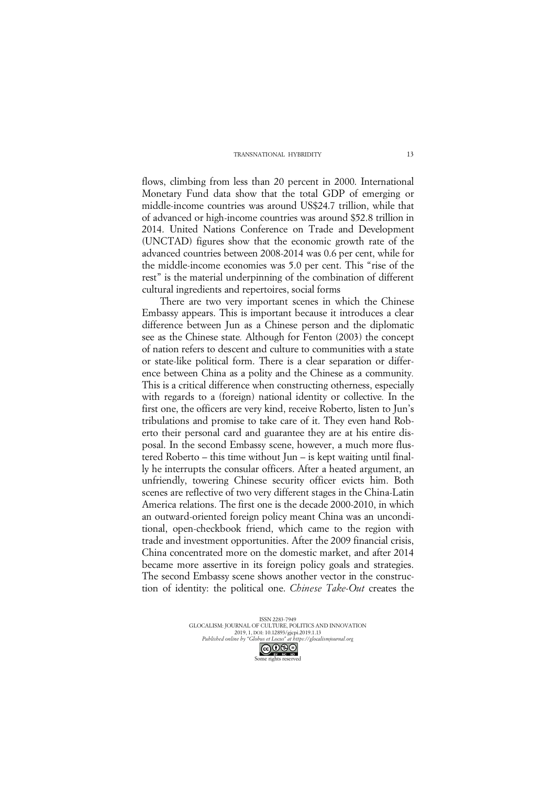flows, climbing from less than 20 percent in 2000. International Monetary Fund data show that the total GDP of emerging or middle-income countries was around US\$24.7 trillion, while that of advanced or high-income countries was around \$52.8 trillion in 2014. United Nations Conference on Trade and Development (UNCTAD) figures show that the economic growth rate of the advanced countries between 2008-2014 was 0.6 per cent, while for the middle-income economies was 5.0 per cent. This "rise of the rest" is the material underpinning of the combination of different cultural ingredients and repertoires, social forms

There are two very important scenes in which the Chinese Embassy appears. This is important because it introduces a clear difference between Jun as a Chinese person and the diplomatic see as the Chinese state*.* Although for Fenton (2003) the concept of nation refers to descent and culture to communities with a state or state-like political form. There is a clear separation or difference between China as a polity and the Chinese as a community*.* This is a critical difference when constructing otherness, especially with regards to a (foreign) national identity or collective*.* In the first one, the officers are very kind, receive Roberto, listen to Jun's tribulations and promise to take care of it. They even hand Roberto their personal card and guarantee they are at his entire disposal. In the second Embassy scene, however, a much more flustered Roberto – this time without Jun – is kept waiting until finally he interrupts the consular officers. After a heated argument, an unfriendly, towering Chinese security officer evicts him. Both scenes are reflective of two very different stages in the China-Latin America relations. The first one is the decade 2000-2010, in which an outward-oriented foreign policy meant China was an unconditional, open-checkbook friend, which came to the region with trade and investment opportunities. After the 2009 financial crisis, China concentrated more on the domestic market, and after 2014 became more assertive in its foreign policy goals and strategies. The second Embassy scene shows another vector in the construction of identity: the political one. *Chinese Take-Out* creates the

> ISSN 2283-7949 GLOCALISM: JOURNAL OF CULTURE, POLITICS AND INNOVATION 2019, 1, DOI: 10.12893/gjcpi.2019.1.13 *Published online by "Globus et Locus" at https://glocalismjournal.org* Some rights reserved<br>Some rights reserved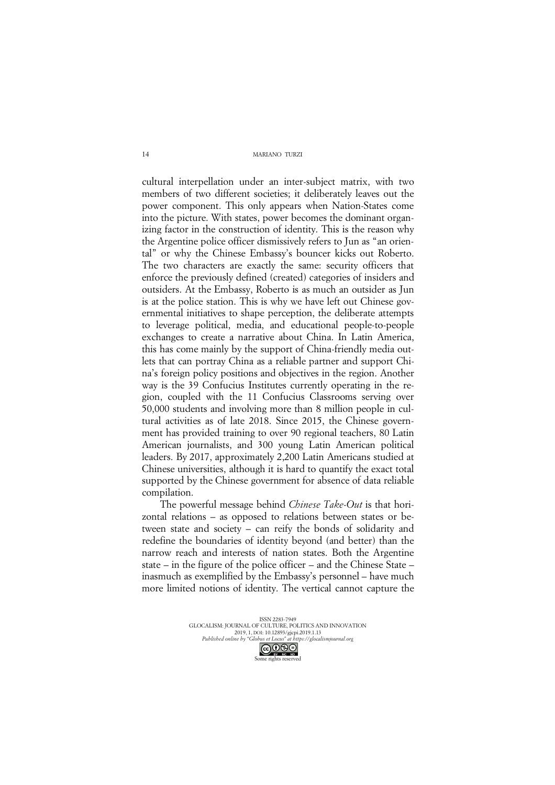cultural interpellation under an inter-subject matrix, with two members of two different societies; it deliberately leaves out the power component. This only appears when Nation-States come into the picture. With states, power becomes the dominant organizing factor in the construction of identity. This is the reason why the Argentine police officer dismissively refers to Jun as "an oriental" or why the Chinese Embassy's bouncer kicks out Roberto. The two characters are exactly the same: security officers that enforce the previously defined (created) categories of insiders and outsiders. At the Embassy, Roberto is as much an outsider as Jun is at the police station. This is why we have left out Chinese governmental initiatives to shape perception, the deliberate attempts to leverage political, media, and educational people-to-people exchanges to create a narrative about China. In Latin America, this has come mainly by the support of China-friendly media outlets that can portray China as a reliable partner and support China's foreign policy positions and objectives in the region. Another way is the 39 Confucius Institutes currently operating in the region, coupled with the 11 Confucius Classrooms serving over 50,000 students and involving more than 8 million people in cultural activities as of late 2018. Since 2015, the Chinese government has provided training to over 90 regional teachers, 80 Latin American journalists, and 300 young Latin American political leaders. By 2017, approximately 2,200 Latin Americans studied at Chinese universities, although it is hard to quantify the exact total supported by the Chinese government for absence of data reliable compilation.

The powerful message behind *Chinese Take-Out* is that horizontal relations – as opposed to relations between states or between state and society – can reify the bonds of solidarity and redefine the boundaries of identity beyond (and better) than the narrow reach and interests of nation states. Both the Argentine state – in the figure of the police officer – and the Chinese State – inasmuch as exemplified by the Embassy's personnel – have much more limited notions of identity. The vertical cannot capture the

> ISSN 2283-7949 GLOCALISM: JOURNAL OF CULTURE, POLITICS AND INNOVATION 2019, 1, DOI: 10.12893/gjcpi.2019.1.13 *Published online by "Globus et Locus" at https://glocalismjournal.org* Some rights reserved<br>Some rights reserved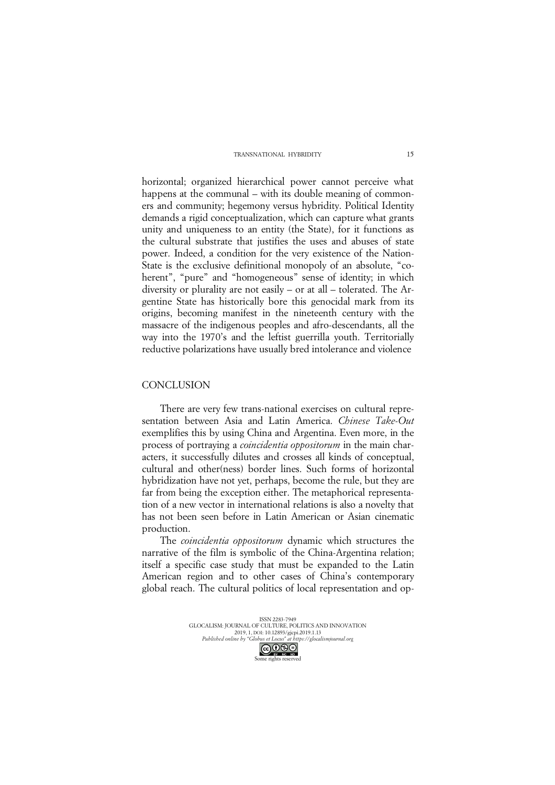horizontal; organized hierarchical power cannot perceive what happens at the communal – with its double meaning of commoners and community; hegemony versus hybridity. Political Identity demands a rigid conceptualization, which can capture what grants unity and uniqueness to an entity (the State), for it functions as the cultural substrate that justifies the uses and abuses of state power. Indeed, a condition for the very existence of the Nation-State is the exclusive definitional monopoly of an absolute, "coherent", "pure" and "homogeneous" sense of identity; in which diversity or plurality are not easily – or at all – tolerated. The Argentine State has historically bore this genocidal mark from its origins, becoming manifest in the nineteenth century with the massacre of the indigenous peoples and afro-descendants, all the way into the 1970's and the leftist guerrilla youth. Territorially reductive polarizations have usually bred intolerance and violence

# **CONCLUSION**

There are very few trans-national exercises on cultural representation between Asia and Latin America. *Chinese Take-Out*  exemplifies this by using China and Argentina. Even more, in the process of portraying a *coincidentia oppositorum* in the main characters, it successfully dilutes and crosses all kinds of conceptual, cultural and other(ness) border lines. Such forms of horizontal hybridization have not yet, perhaps, become the rule, but they are far from being the exception either. The metaphorical representation of a new vector in international relations is also a novelty that has not been seen before in Latin American or Asian cinematic production.

The *coincidentia oppositorum* dynamic which structures the narrative of the film is symbolic of the China-Argentina relation; itself a specific case study that must be expanded to the Latin American region and to other cases of China's contemporary global reach. The cultural politics of local representation and op-

> ISSN 2283-7949 GLOCALISM: JOURNAL OF CULTURE, POLITICS AND INNOVATION 2019, 1, DOI: 10.12893/gjcpi.2019.1.13 *Published online by "Globus et Locus" at https://glocalismjournal.org* Some rights reserved<br>Some rights reserved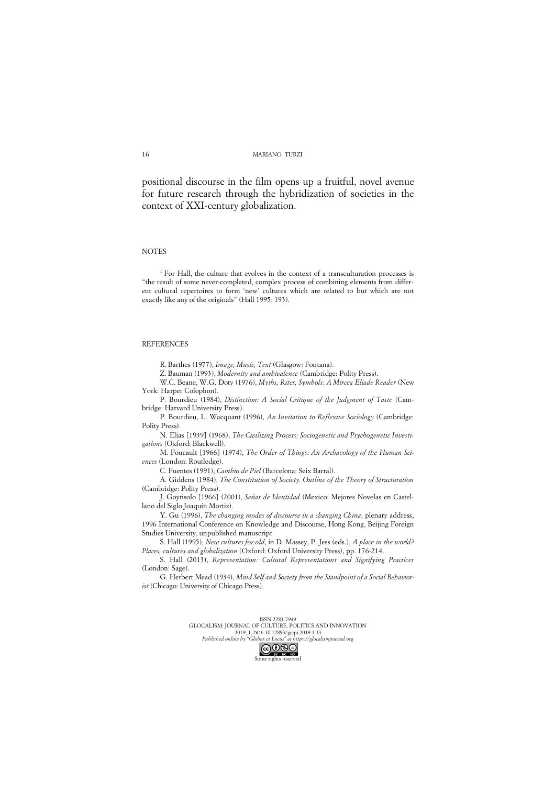positional discourse in the film opens up a fruitful, novel avenue for future research through the hybridization of societies in the context of XXI-century globalization.

### **NOTES**

<sup>1</sup> For Hall, the culture that evolves in the context of a transculturation processes is "the result of some never-completed, complex process of combining elements from different cultural repertoires to form 'new' cultures which are related to but which are not exactly like any of the originals" (Hall 1995: 193).

### **REFERENCES**

R. Barthes (1977), *Image, Music, Text* (Glasgow: Fontana).

Z. Bauman (1993), *Modernity and ambivalence* (Cambridge: Polity Press).

W.C. Beane, W.G. Doty (1976), *Myths, Rites, Symbols: A Mircea Eliade Reader* (New York: Harper Colophon).

P. Bourdieu (1984), *Distinction: A Social Critique of the Judgment of Taste* (Cambridge: Harvard University Press).

P. Bourdieu, L. Wacquant (1996), *An Invitation to Reflexive Sociology* (Cambridge: Polity Press).

N. Elias [1939] (1968), *The Civilizing Process: Sociogenetic and Psychogenetic Investigations* (Oxford: Blackwell).

M. Foucault [1966] (1974), *The Order of Things: An Archaeology of the Human Sciences* (London: Routledge).

C. Fuentes (1991), *Cambio de Piel* (Barcelona: Seix Barral).

A. Giddens (1984), *The Constitution of Society. Outline of the Theory of Structuration* (Cambridge: Polity Press).

J. Goytisolo [1966] (2001), *Señas de Identidad* (Mexico: Mejores Novelas en Castellano del Siglo Joaquín Mortiz).

Y. Gu (1996), *The changing modes of discourse in a changing China*, plenary address, 1996 International Conference on Knowledge and Discourse, Hong Kong, Beijing Foreign Studies University, unpublished manuscript.

S. Hall (1995), *New cultures for old*, in D. Massey, P. Jess (eds.), *A place in the world? Places, cultures and globalization* (Oxford: Oxford University Press), pp. 176-214.

S. Hall (2013), *Representation: Cultural Representations and Signifying Practices* (London: Sage).

G. Herbert Mead (1934), *Mind Self and Society from the Standpoint of a Social Behaviorist* (Chicago: University of Chicago Press).

> ISSN 2283-7949 GLOCALISM: JOURNAL OF CULTURE, POLITICS AND INNOVATION 2019, 1, DOI: 10.12893/gjcpi.2019.1.13 *Published online by "Globus et Locus" at https://glocalismjournal.org*

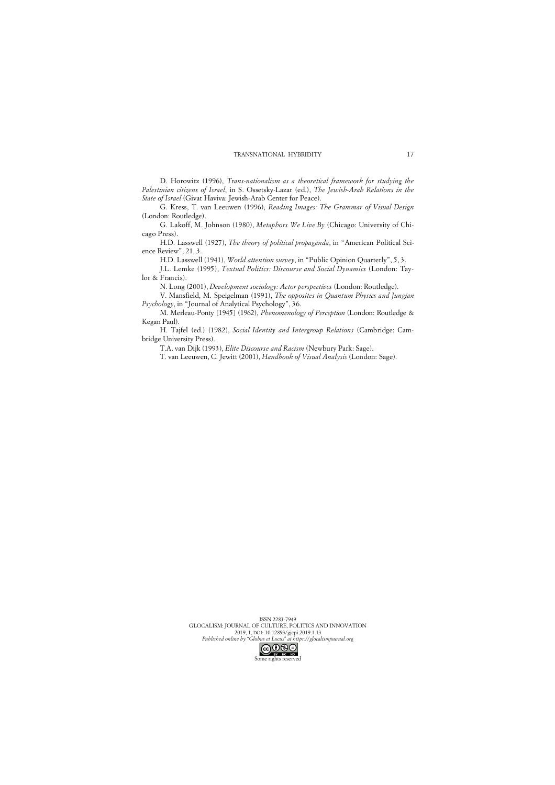D. Horowitz (1996), *Trans-nationalism as a theoretical framework for studying the Palestinian citizens of Israel*, in S. Ossetsky-Lazar (ed.), *The Jewish-Arab Relations in the State of Israel* (Givat Haviva: Jewish-Arab Center for Peace).

G. Kress, T. van Leeuwen (1996), *Reading Images: The Grammar of Visual Design* (London: Routledge).

G. Lakoff, M. Johnson (1980), *Metaphors We Live By* (Chicago: University of Chicago Press).

H.D. Lasswell (1927), *The theory of political propaganda*, in "American Political Science Review", 21, 3.

H.D. Lasswell (1941), *World attention survey*, in "Public Opinion Quarterly", 5, 3. J.L. Lemke (1995), *Textual Politics: Discourse and Social Dynamics* (London: Taylor & Francis).

N. Long (2001), *Development sociology: Actor perspectives* (London: Routledge).

V. Mansfield, M. Speigelman (1991), *The opposites in Quantum Physics and Jungian Psychology*, in "Journal of Analytical Psychology", 36.

M. Merleau-Ponty [1945] (1962), *Phenomenology of Perception* (London: Routledge & Kegan Paul).

H. Tajfel (ed.) (1982), *Social Identity and Intergroup Relations* (Cambridge: Cambridge University Press).

T.A. van Dijk (1993), *Elite Discourse and Racism* (Newbury Park: Sage).

T. van Leeuwen, C. Jewitt (2001), *Handbook of Visual Analysis* (London: Sage).

ISSN 2283-7949 GLOCALISM: JOURNAL OF CULTURE, POLITICS AND INNOVATION 2019, 1, DOI: 10.12893/gjcpi.2019.1.13 *Published online by "Globus et Locus" at https://glocalismjournal.org*